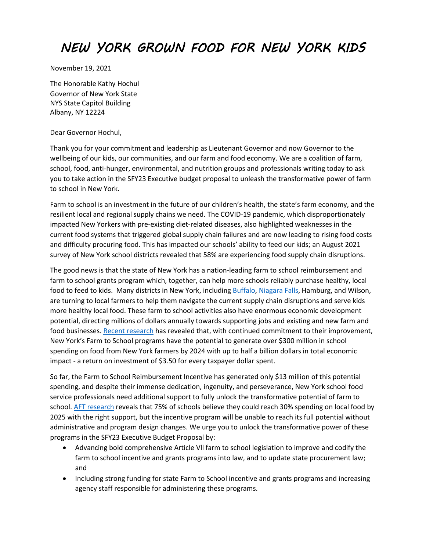## *NEW YORK GROWN FOOD FOR NEW YORK KIDS*

November 19, 2021

The Honorable Kathy Hochul Governor of New York State NYS State Capitol Building Albany, NY 12224

Dear Governor Hochul,

Thank you for your commitment and leadership as Lieutenant Governor and now Governor to the wellbeing of our kids, our communities, and our farm and food economy. We are a coalition of farm, school, food, anti-hunger, environmental, and nutrition groups and professionals writing today to ask you to take action in the SFY23 Executive budget proposal to unleash the transformative power of farm to school in New York.

Farm to school is an investment in the future of our children's health, the state's farm economy, and the resilient local and regional supply chains we need. The COVID-19 pandemic, which disproportionately impacted New Yorkers with pre-existing diet-related diseases, also highlighted weaknesses in the current food systems that triggered global supply chain failures and are now leading to rising food costs and difficulty procuring food. This has impacted our schools' ability to feed our kids; an August 2021 survey of New York school districts revealed that 58% are experiencing food supply chain disruptions.

The good news is that the state of New York has a nation-leading farm to school reimbursement and farm to school grants program which, together, can help more schools reliably purchase healthy, local food to feed to kids. Many districts in New York, includin[g Buffalo, Niagara](https://www.wbfo.org/education/2021-10-05/local-farms-benefiting-from-tangle-in-national-supply-chain) Falls, Hamburg, and Wilson, are turning to local farmers to help them navigate the current supply chain disruptions and serve kids more healthy local food. These farm to school activities also have enormous economic development potential, directing millions of dollars annually towards supporting jobs and existing and new farm and food businesses. [Recent research](https://farmlandinfo.org/publications/growing-resilience-for-farm-to-school-in-new-york/) has revealed that, with continued commitment to their improvement, New York's Farm to School programs have the potential to generate over \$300 million in school spending on food from New York farmers by 2024 with up to half a billion dollars in total economic impact - a return on investment of \$3.50 for every taxpayer dollar spent.

So far, the Farm to School Reimbursement Incentive has generated only \$13 million of this potential spending, and despite their immense dedication, ingenuity, and perseverance, New York school food service professionals need additional support to fully unlock the transformative potential of farm to school. [AFT research](https://farmlandinfo.org/publications/growing-resilience-for-farm-to-school-in-new-york/) reveals that 75% of schools believe they could reach 30% spending on local food by 2025 with the right support, but the incentive program will be unable to reach its full potential without administrative and program design changes. We urge you to unlock the transformative power of these programs in the SFY23 Executive Budget Proposal by:

- Advancing bold comprehensive Article Vll farm to school legislation to improve and codify the farm to school incentive and grants programs into law, and to update state procurement law; and
- Including strong funding for state Farm to School incentive and grants programs and increasing agency staff responsible for administering these programs.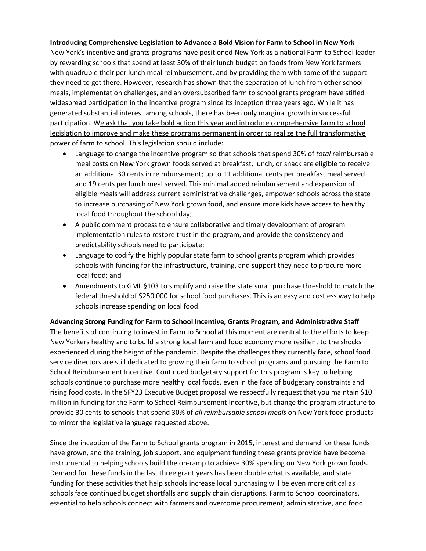**Introducing Comprehensive Legislation to Advance a Bold Vision for Farm to School in New York**

New York's incentive and grants programs have positioned New York as a national Farm to School leader by rewarding schools that spend at least 30% of their lunch budget on foods from New York farmers with quadruple their per lunch meal reimbursement, and by providing them with some of the support they need to get there. However, research has shown that the separation of lunch from other school meals, implementation challenges, and an oversubscribed farm to school grants program have stifled widespread participation in the incentive program since its inception three years ago. While it has generated substantial interest among schools, there has been only marginal growth in successful participation. We ask that you take bold action this year and introduce comprehensive farm to school legislation to improve and make these programs permanent in order to realize the full transformative power of farm to school. This legislation should include:

- Language to change the incentive program so that schools that spend 30% of *total* reimbursable meal costs on New York grown foods served at breakfast, lunch, or snack are eligible to receive an additional 30 cents in reimbursement; up to 11 additional cents per breakfast meal served and 19 cents per lunch meal served. This minimal added reimbursement and expansion of eligible meals will address current administrative challenges, empower schools across the state to increase purchasing of New York grown food, and ensure more kids have access to healthy local food throughout the school day;
- A public comment process to ensure collaborative and timely development of program implementation rules to restore trust in the program, and provide the consistency and predictability schools need to participate;
- Language to codify the highly popular state farm to school grants program which provides schools with funding for the infrastructure, training, and support they need to procure more local food; and
- Amendments to GML §103 to simplify and raise the state small purchase threshold to match the federal threshold of \$250,000 for school food purchases. This is an easy and costless way to help schools increase spending on local food.

**Advancing Strong Funding for Farm to School Incentive, Grants Program, and Administrative Staff** The benefits of continuing to invest in Farm to School at this moment are central to the efforts to keep New Yorkers healthy and to build a strong local farm and food economy more resilient to the shocks experienced during the height of the pandemic. Despite the challenges they currently face, school food service directors are still dedicated to growing their farm to school programs and pursuing the Farm to School Reimbursement Incentive. Continued budgetary support for this program is key to helping schools continue to purchase more healthy local foods, even in the face of budgetary constraints and rising food costs. In the SFY23 Executive Budget proposal we respectfully request that you maintain \$10 million in funding for the Farm to School Reimbursement Incentive, but change the program structure to provide 30 cents to schools that spend 30% of *all reimbursable school meals* on New York food products to mirror the legislative language requested above.

Since the inception of the Farm to School grants program in 2015, interest and demand for these funds have grown, and the training, job support, and equipment funding these grants provide have become instrumental to helping schools build the on-ramp to achieve 30% spending on New York grown foods. Demand for these funds in the last three grant years has been double what is available, and state funding for these activities that help schools increase local purchasing will be even more critical as schools face continued budget shortfalls and supply chain disruptions. Farm to School coordinators, essential to help schools connect with farmers and overcome procurement, administrative, and food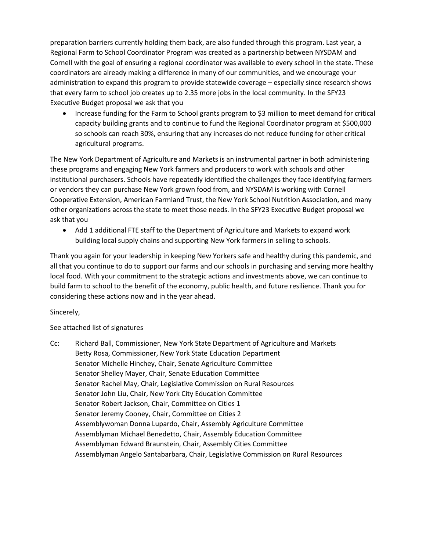preparation barriers currently holding them back, are also funded through this program. Last year, a Regional Farm to School Coordinator Program was created as a partnership between NYSDAM and Cornell with the goal of ensuring a regional coordinator was available to every school in the state. These coordinators are already making a difference in many of our communities, and we encourage your administration to expand this program to provide statewide coverage – especially since research shows that every farm to school job creates up to 2.35 more jobs in the local community. In the SFY23 Executive Budget proposal we ask that you

• Increase funding for the Farm to School grants program to \$3 million to meet demand for critical capacity building grants and to continue to fund the Regional Coordinator program at \$500,000 so schools can reach 30%, ensuring that any increases do not reduce funding for other critical agricultural programs.

The New York Department of Agriculture and Markets is an instrumental partner in both administering these programs and engaging New York farmers and producers to work with schools and other institutional purchasers. Schools have repeatedly identified the challenges they face identifying farmers or vendors they can purchase New York grown food from, and NYSDAM is working with Cornell Cooperative Extension, American Farmland Trust, the New York School Nutrition Association, and many other organizations across the state to meet those needs. In the SFY23 Executive Budget proposal we ask that you

• Add 1 additional FTE staff to the Department of Agriculture and Markets to expand work building local supply chains and supporting New York farmers in selling to schools.

Thank you again for your leadership in keeping New Yorkers safe and healthy during this pandemic, and all that you continue to do to support our farms and our schools in purchasing and serving more healthy local food. With your commitment to the strategic actions and investments above, we can continue to build farm to school to the benefit of the economy, public health, and future resilience. Thank you for considering these actions now and in the year ahead.

Sincerely,

See attached list of signatures

Cc: Richard Ball, Commissioner, New York State Department of Agriculture and Markets Betty Rosa, Commissioner, New York State Education Department Senator Michelle Hinchey, Chair, Senate Agriculture Committee Senator Shelley Mayer, Chair, Senate Education Committee Senator Rachel May, Chair, Legislative Commission on Rural Resources Senator John Liu, Chair, New York City Education Committee Senator Robert Jackson, Chair, Committee on Cities 1 Senator Jeremy Cooney, Chair, Committee on Cities 2 Assemblywoman Donna Lupardo, Chair, Assembly Agriculture Committee Assemblyman Michael Benedetto, Chair, Assembly Education Committee Assemblyman Edward Braunstein, Chair, Assembly Cities Committee Assemblyman Angelo Santabarbara, Chair, Legislative Commission on Rural Resources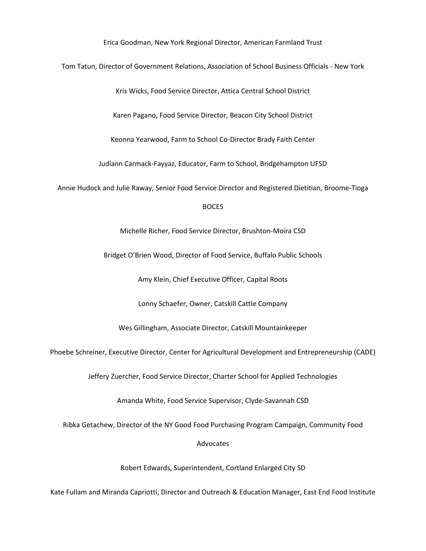Erica Goodman, New York Regional Director, American Farmland Trust

Tom Tatun, Director of Government Relations, Association of School Business Officials - New York

Kris Wicks, Food Service Director, Attica Central School District

Karen Pagano, Food Service Director, Beacon City School District

Keonna Yearwood, Farm to School Co-Director Brady Faith Center

Judiann Carmack-Fayyaz, Educator, Farm to School, Bridgehampton UFSD

Annie Hudock and Julie Raway, Senior Food Service Director and Registered Dietitian, Broome-Tioga

## BOCES

Michelle Richer, Food Service Director, Brushton-Moira CSD

Bridget O'Brien Wood, Director of Food Service, Buffalo Public Schools

Amy Klein, Chief Executive Officer, Capital Roots

Lonny Schaefer, Owner, Catskill Cattle Company

Wes Gillingham, Associate Director, Catskill Mountainkeeper

Phoebe Schreiner, Executive Director, Center for Agricultural Development and Entrepreneurship (CADE)

Jeffery Zuercher, Food Service Director, Charter School for Applied Technologies

Amanda White, Food Service Supervisor, Clyde-Savannah CSD

Ribka Getachew, Director of the NY Good Food Purchasing Program Campaign, Community Food

Advocates

Robert Edwards, Superintendent, Cortland Enlarged City SD

Kate Fullam and Miranda Capriotti, Director and Outreach & Education Manager, East End Food Institute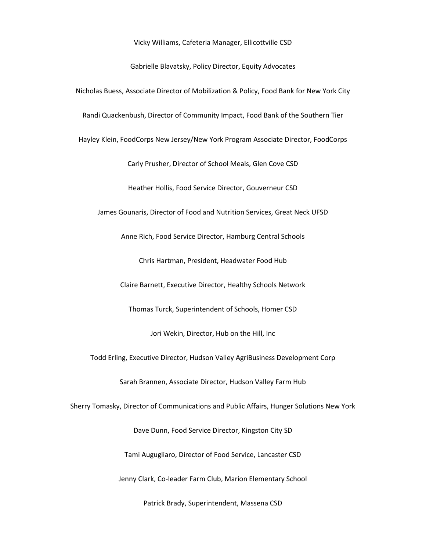Vicky Williams, Cafeteria Manager, Ellicottville CSD

Gabrielle Blavatsky, Policy Director, Equity Advocates

Nicholas Buess, Associate Director of Mobilization & Policy, Food Bank for New York City Randi Quackenbush, Director of Community Impact, Food Bank of the Southern Tier Hayley Klein, FoodCorps New Jersey/New York Program Associate Director, FoodCorps Carly Prusher, Director of School Meals, Glen Cove CSD Heather Hollis, Food Service Director, Gouverneur CSD James Gounaris, Director of Food and Nutrition Services, Great Neck UFSD Anne Rich, Food Service Director, Hamburg Central Schools Chris Hartman, President, Headwater Food Hub Claire Barnett, Executive Director, Healthy Schools Network Thomas Turck, Superintendent of Schools, Homer CSD Jori Wekin, Director, Hub on the Hill, Inc Todd Erling, Executive Director, Hudson Valley AgriBusiness Development Corp Sarah Brannen, Associate Director, Hudson Valley Farm Hub Sherry Tomasky, Director of Communications and Public Affairs, Hunger Solutions New York Dave Dunn, Food Service Director, Kingston City SD Tami Augugliaro, Director of Food Service, Lancaster CSD Jenny Clark, Co-leader Farm Club, Marion Elementary School Patrick Brady, Superintendent, Massena CSD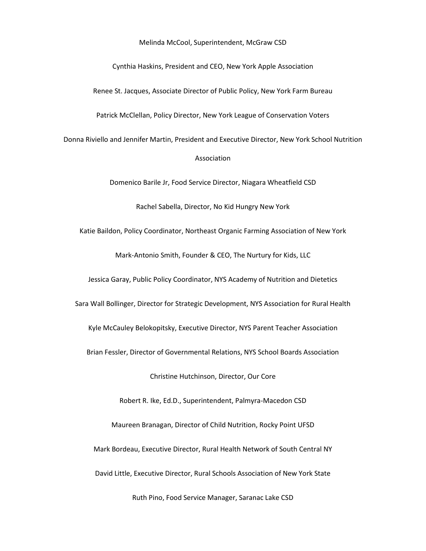Melinda McCool, Superintendent, McGraw CSD

Cynthia Haskins, President and CEO, New York Apple Association

Renee St. Jacques, Associate Director of Public Policy, New York Farm Bureau

Patrick McClellan, Policy Director, New York League of Conservation Voters

Donna Riviello and Jennifer Martin, President and Executive Director, New York School Nutrition Association

Domenico Barile Jr, Food Service Director, Niagara Wheatfield CSD

Rachel Sabella, Director, No Kid Hungry New York

Katie Baildon, Policy Coordinator, Northeast Organic Farming Association of New York

Mark-Antonio Smith, Founder & CEO, The Nurtury for Kids, LLC

Jessica Garay, Public Policy Coordinator, NYS Academy of Nutrition and Dietetics

Sara Wall Bollinger, Director for Strategic Development, NYS Association for Rural Health

Kyle McCauley Belokopitsky, Executive Director, NYS Parent Teacher Association

Brian Fessler, Director of Governmental Relations, NYS School Boards Association

Christine Hutchinson, Director, Our Core

Robert R. Ike, Ed.D., Superintendent, Palmyra-Macedon CSD

Maureen Branagan, Director of Child Nutrition, Rocky Point UFSD

Mark Bordeau, Executive Director, Rural Health Network of South Central NY

David Little, Executive Director, Rural Schools Association of New York State

Ruth Pino, Food Service Manager, Saranac Lake CSD